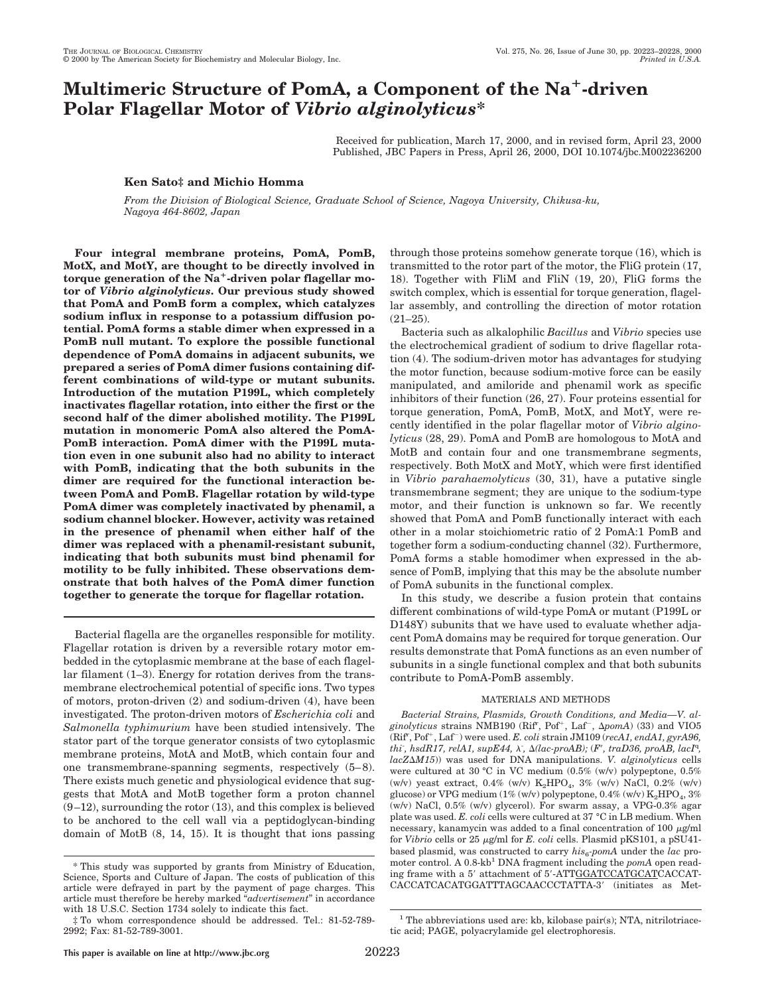# **Multimeric Structure of PomA, a Component of the Na**1**-driven Polar Flagellar Motor of** *Vibrio alginolyticus***\***

Received for publication, March 17, 2000, and in revised form, April 23, 2000 Published, JBC Papers in Press, April 26, 2000, DOI 10.1074/jbc.M002236200

### **Ken Sato‡ and Michio Homma**

*From the Division of Biological Science, Graduate School of Science, Nagoya University, Chikusa-ku, Nagoya 464-8602, Japan*

**Four integral membrane proteins, PomA, PomB, MotX, and MotY, are thought to be directly involved in** torque generation of the Na<sup>+</sup>-driven polar flagellar mo**tor of** *Vibrio alginolyticus***. Our previous study showed that PomA and PomB form a complex, which catalyzes sodium influx in response to a potassium diffusion potential. PomA forms a stable dimer when expressed in a PomB null mutant. To explore the possible functional dependence of PomA domains in adjacent subunits, we prepared a series of PomA dimer fusions containing different combinations of wild-type or mutant subunits. Introduction of the mutation P199L, which completely inactivates flagellar rotation, into either the first or the second half of the dimer abolished motility. The P199L mutation in monomeric PomA also altered the PomA-PomB interaction. PomA dimer with the P199L mutation even in one subunit also had no ability to interact with PomB, indicating that the both subunits in the dimer are required for the functional interaction between PomA and PomB. Flagellar rotation by wild-type PomA dimer was completely inactivated by phenamil, a sodium channel blocker. However, activity was retained in the presence of phenamil when either half of the dimer was replaced with a phenamil-resistant subunit, indicating that both subunits must bind phenamil for motility to be fully inhibited. These observations demonstrate that both halves of the PomA dimer function together to generate the torque for flagellar rotation.**

Bacterial flagella are the organelles responsible for motility. Flagellar rotation is driven by a reversible rotary motor embedded in the cytoplasmic membrane at the base of each flagellar filament (1–3). Energy for rotation derives from the transmembrane electrochemical potential of specific ions. Two types of motors, proton-driven (2) and sodium-driven (4), have been investigated. The proton-driven motors of *Escherichia coli* and *Salmonella typhimurium* have been studied intensively. The stator part of the torque generator consists of two cytoplasmic membrane proteins, MotA and MotB, which contain four and one transmembrane-spanning segments, respectively (5–8). There exists much genetic and physiological evidence that suggests that MotA and MotB together form a proton channel  $(9-12)$ , surrounding the rotor  $(13)$ , and this complex is believed to be anchored to the cell wall via a peptidoglycan-binding domain of MotB (8, 14, 15). It is thought that ions passing through those proteins somehow generate torque (16), which is transmitted to the rotor part of the motor, the FliG protein (17, 18). Together with FliM and FliN (19, 20), FliG forms the switch complex, which is essential for torque generation, flagellar assembly, and controlling the direction of motor rotation  $(21-25)$ 

Bacteria such as alkalophilic *Bacillus* and *Vibrio* species use the electrochemical gradient of sodium to drive flagellar rotation (4). The sodium-driven motor has advantages for studying the motor function, because sodium-motive force can be easily manipulated, and amiloride and phenamil work as specific inhibitors of their function (26, 27). Four proteins essential for torque generation, PomA, PomB, MotX, and MotY, were recently identified in the polar flagellar motor of *Vibrio alginolyticus* (28, 29). PomA and PomB are homologous to MotA and MotB and contain four and one transmembrane segments, respectively. Both MotX and MotY, which were first identified in *Vibrio parahaemolyticus* (30, 31), have a putative single transmembrane segment; they are unique to the sodium-type motor, and their function is unknown so far. We recently showed that PomA and PomB functionally interact with each other in a molar stoichiometric ratio of 2 PomA:1 PomB and together form a sodium-conducting channel (32). Furthermore, PomA forms a stable homodimer when expressed in the absence of PomB, implying that this may be the absolute number of PomA subunits in the functional complex.

In this study, we describe a fusion protein that contains different combinations of wild-type PomA or mutant (P199L or D148Y) subunits that we have used to evaluate whether adjacent PomA domains may be required for torque generation. Our results demonstrate that PomA functions as an even number of subunits in a single functional complex and that both subunits contribute to PomA-PomB assembly.

#### MATERIALS AND METHODS

*Bacterial Strains, Plasmids, Growth Conditions, and Media—V. al*ginolyticus strains NMB190 (Rif<sup>r</sup>, Pof<sup>+</sup>, Laf<sup>-</sup>,  $\Delta p$ omA) (33) and VIO5 (Rif<sup>r</sup>, Pof<sup>+</sup>, Laf<sup>-</sup>) were used. *E. coli* strain JM109 (*recA1, endA1, gyrA96, thi*, *hsdR17, relA1, supE44, λ*,  $\Delta$ *(lac-proAB);* (*F', traD36, proAB, lacI*<sup>q</sup>,  $lacZ\Delta M15$ )) was used for DNA manipulations. *V. alginolyticus* cells were cultured at 30 °C in VC medium (0.5% (w/v) polypeptone, 0.5% (w/v) yeast extract,  $0.4\%$  (w/v)  $K_2HPO_4$ ,  $3\%$  (w/v) NaCl,  $0.2\%$  (w/v) glucose) or VPG medium  $(1\%$  (w/v) polypeptone,  $0.4\%$  (w/v)  $K_2HPO_4$ ,  $3\%$ (w/v) NaCl,  $0.5\%$  (w/v) glycerol). For swarm assay, a VPG-0.3% agar plate was used. *E. coli* cells were cultured at 37 °C in LB medium. When necessary, kanamycin was added to a final concentration of  $100 \mu\text{g/ml}$ for *Vibrio* cells or 25 μg/ml for *E. coli* cells. Plasmid pKS101, a pSU41based plasmid, was constructed to carry  $his<sub>6</sub>-pomA$  under the *lac* promoter control. A 0.8-kb<sup>1</sup> DNA fragment including the *pomA* open reading frame with a 5' attachment of 5'-ATTGGATCCATGCATCACCAT-CACCATCACATGGATTTAGCAACCCTATTA-3' (initiates as Met-

 $^{\rm 1}$  The abbreviations used are: kb, kilobase pair(s); NTA, nitrilotriace-

tic acid; PAGE, polyacrylamide gel electrophoresis.

<sup>\*</sup> This study was supported by grants from Ministry of Education, Science, Sports and Culture of Japan. The costs of publication of this article were defrayed in part by the payment of page charges. This article must therefore be hereby marked "*advertisement*" in accordance with 18 U.S.C. Section 1734 solely to indicate this fact.

<sup>‡</sup> To whom correspondence should be addressed. Tel.: 81-52-789- 2992; Fax: 81-52-789-3001.

**This paper is available on line at http://www.jbc.org** 20223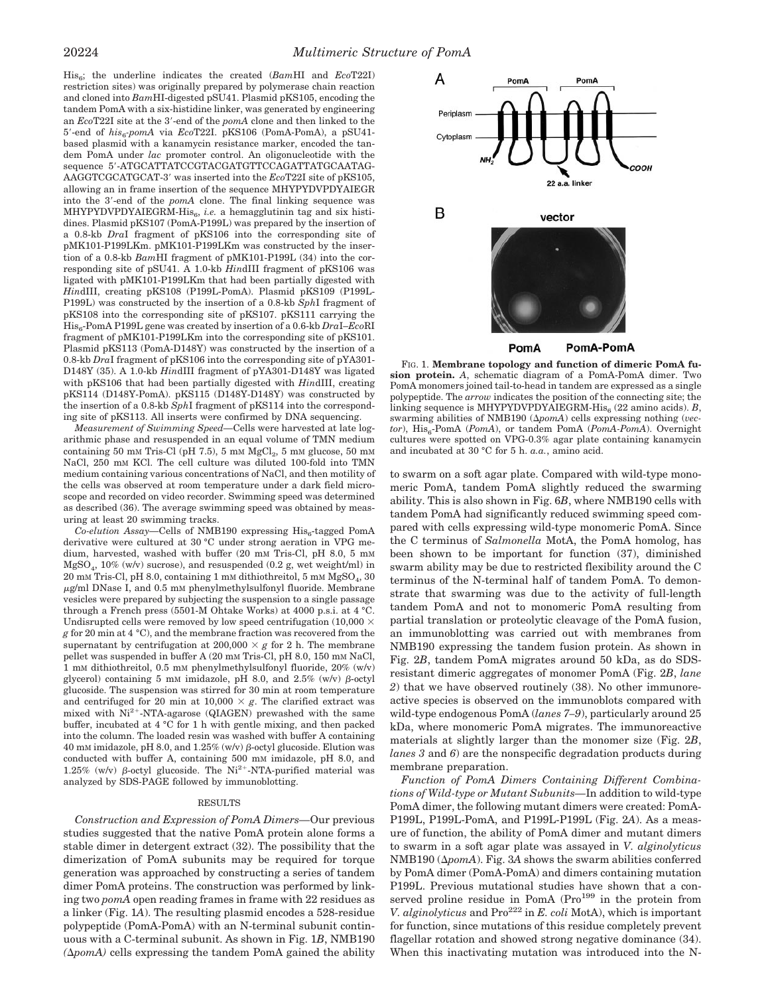His6; the underline indicates the created (*Bam*HI and *Eco*T22I) restriction sites) was originally prepared by polymerase chain reaction and cloned into *Bam*HI-digested pSU41. Plasmid pKS105, encoding the tandem PomA with a six-histidine linker, was generated by engineering an *Eco*T22I site at the 3'-end of the *pomA* clone and then linked to the 5'-end of *his<sub>6</sub>-pomA* via *Eco*T22I. pKS106 (PomA-PomA), a pSU41based plasmid with a kanamycin resistance marker, encoded the tandem PomA under *lac* promoter control. An oligonucleotide with the sequence 5'-ATGCATTATCCGTACGATGTTCCAGATTATGCAATAG-AAGGTCGCATGCAT-39 was inserted into the *Eco*T22I site of pKS105, allowing an in frame insertion of the sequence MHYPYDVPDYAIEGR into the 3'-end of the *pomA* clone. The final linking sequence was MHYPYDVPDYAIEGRM-His<sub>6</sub>, *i.e.* a hemagglutinin tag and six histidines. Plasmid pKS107 (PomA-P199L) was prepared by the insertion of a 0.8-kb *Dra*I fragment of pKS106 into the corresponding site of pMK101-P199LKm. pMK101-P199LKm was constructed by the insertion of a 0.8-kb *Bam*HI fragment of pMK101-P199L (34) into the corresponding site of pSU41. A 1.0-kb *Hin*dIII fragment of pKS106 was ligated with pMK101-P199LKm that had been partially digested with *Hin*dIII, creating pKS108 (P199L-PomA). Plasmid pKS109 (P199L-P199L) was constructed by the insertion of a 0.8-kb *Sph*I fragment of pKS108 into the corresponding site of pKS107. pKS111 carrying the His6-PomA P199L gene was created by insertion of a 0.6-kb *Dra*I–*Eco*RI fragment of pMK101-P199LKm into the corresponding site of pKS101. Plasmid pKS113 (PomA-D148Y) was constructed by the insertion of a 0.8-kb *Dra*I fragment of pKS106 into the corresponding site of pYA301- D148Y (35). A 1.0-kb *Hin*dIII fragment of pYA301-D148Y was ligated with pKS106 that had been partially digested with *Hin*dIII, creating pKS114 (D148Y-PomA). pKS115 (D148Y-D148Y) was constructed by the insertion of a 0.8-kb *Sph*I fragment of pKS114 into the corresponding site of pKS113. All inserts were confirmed by DNA sequencing.

*Measurement of Swimming Speed—*Cells were harvested at late logarithmic phase and resuspended in an equal volume of TMN medium containing 50 mm Tris-Cl (pH 7.5), 5 mm  $MgCl<sub>2</sub>$ , 5 mm glucose, 50 mm NaCl, 250 mM KCl. The cell culture was diluted 100-fold into TMN medium containing various concentrations of NaCl, and then motility of the cells was observed at room temperature under a dark field microscope and recorded on video recorder. Swimming speed was determined as described (36). The average swimming speed was obtained by measuring at least 20 swimming tracks.

*Co-elution Assay*—Cells of NMB190 expressing His<sub>6</sub>-tagged PomA derivative were cultured at 30 °C under strong aeration in VPG medium, harvested, washed with buffer (20 mM Tris-Cl, pH 8.0, 5 mM  $MgSO<sub>4</sub>$ , 10% (w/v) sucrose), and resuspended (0.2 g, wet weight/ml) in 20 mM Tris-Cl, pH 8.0, containing 1 mM dithiothreitol, 5 mM  $MgSO<sub>4</sub>$ , 30  $\mu$ g/ml DNase I, and 0.5 mM phenylmethylsulfonyl fluoride. Membrane vesicles were prepared by subjecting the suspension to a single passage through a French press (5501-M Ohtake Works) at 4000 p.s.i. at 4 °C. Undisrupted cells were removed by low speed centrifugation  $(10,000 \times$ *g* for 20 min at 4 °C), and the membrane fraction was recovered from the supernatant by centrifugation at  $200,000 \times g$  for 2 h. The membrane pellet was suspended in buffer A (20 mM Tris-Cl, pH 8.0, 150 mM NaCl, 1 mM dithiothreitol, 0.5 mM phenylmethylsulfonyl fluoride, 20% (w/v) glycerol) containing 5 mM imidazole, pH 8.0, and  $2.5\%$  (w/v)  $\beta$ -octyl glucoside. The suspension was stirred for 30 min at room temperature and centrifuged for 20 min at  $10,000 \times g$ . The clarified extract was mixed with  $Ni^{2+}$ -NTA-agarose (QIAGEN) prewashed with the same buffer, incubated at 4 °C for 1 h with gentle mixing, and then packed into the column. The loaded resin was washed with buffer A containing 40 mM imidazole, pH 8.0, and 1.25% (w/v)  $\beta$ -octyl glucoside. Elution was conducted with buffer A, containing 500 mM imidazole, pH 8.0, and 1.25% (w/v)  $\beta$ -octyl glucoside. The Ni<sup>2+</sup>-NTA-purified material was analyzed by SDS-PAGE followed by immunoblotting.

#### RESULTS

*Construction and Expression of PomA Dimers—*Our previous studies suggested that the native PomA protein alone forms a stable dimer in detergent extract (32). The possibility that the dimerization of PomA subunits may be required for torque generation was approached by constructing a series of tandem dimer PomA proteins. The construction was performed by linking two *pomA* open reading frames in frame with 22 residues as a linker (Fig. 1*A*). The resulting plasmid encodes a 528-residue polypeptide (PomA-PomA) with an N-terminal subunit continuous with a C-terminal subunit. As shown in Fig. 1*B*, NMB190  $(\Delta p$ *omA*) cells expressing the tandem PomA gained the ability



PomA-PomA PomA

FIG. 1. **Membrane topology and function of dimeric PomA fusion protein.** *A*, schematic diagram of a PomA-PomA dimer. Two PomA monomers joined tail-to-head in tandem are expressed as a single polypeptide. The *arrow* indicates the position of the connecting site; the linking sequence is MHYPYDVPDYAIEGRM-His $_6$  (22 amino acids). *B*, swarming abilities of NMB190  $(\Delta p \circ m)$  cells expressing nothing (*vec* $tor$ ), His<sub>6</sub>-PomA (*PomA*), or tandem PomA (*PomA-PomA*). Overnight cultures were spotted on VPG-0.3% agar plate containing kanamycin and incubated at 30 °C for 5 h. *a.a.*, amino acid.

to swarm on a soft agar plate. Compared with wild-type monomeric PomA, tandem PomA slightly reduced the swarming ability. This is also shown in Fig. 6*B*, where NMB190 cells with tandem PomA had significantly reduced swimming speed compared with cells expressing wild-type monomeric PomA. Since the C terminus of *Salmonella* MotA, the PomA homolog, has been shown to be important for function (37), diminished swarm ability may be due to restricted flexibility around the C terminus of the N-terminal half of tandem PomA. To demonstrate that swarming was due to the activity of full-length tandem PomA and not to monomeric PomA resulting from partial translation or proteolytic cleavage of the PomA fusion, an immunoblotting was carried out with membranes from NMB190 expressing the tandem fusion protein. As shown in Fig. 2*B*, tandem PomA migrates around 50 kDa, as do SDSresistant dimeric aggregates of monomer PomA (Fig. 2*B*, *lane 2*) that we have observed routinely (38). No other immunoreactive species is observed on the immunoblots compared with wild-type endogenous PomA (*lanes 7–9*), particularly around 25 kDa, where monomeric PomA migrates. The immunoreactive materials at slightly larger than the monomer size (Fig. 2*B*, *lanes 3* and *6*) are the nonspecific degradation products during membrane preparation.

*Function of PomA Dimers Containing Different Combinations of Wild-type or Mutant Subunits—*In addition to wild-type PomA dimer, the following mutant dimers were created: PomA-P199L, P199L-PomA, and P199L-P199L (Fig. 2*A*). As a measure of function, the ability of PomA dimer and mutant dimers to swarm in a soft agar plate was assayed in *V. alginolyticus*  $NMB190 \, (\Delta pomA)$ . Fig. 3A shows the swarm abilities conferred by PomA dimer (PomA-PomA) and dimers containing mutation P199L. Previous mutational studies have shown that a conserved proline residue in PomA  $(Pro<sup>199</sup>$  in the protein from *V. alginolyticus* and  $Pro^{222}$  in *E. coli* MotA), which is important for function, since mutations of this residue completely prevent flagellar rotation and showed strong negative dominance (34). When this inactivating mutation was introduced into the N-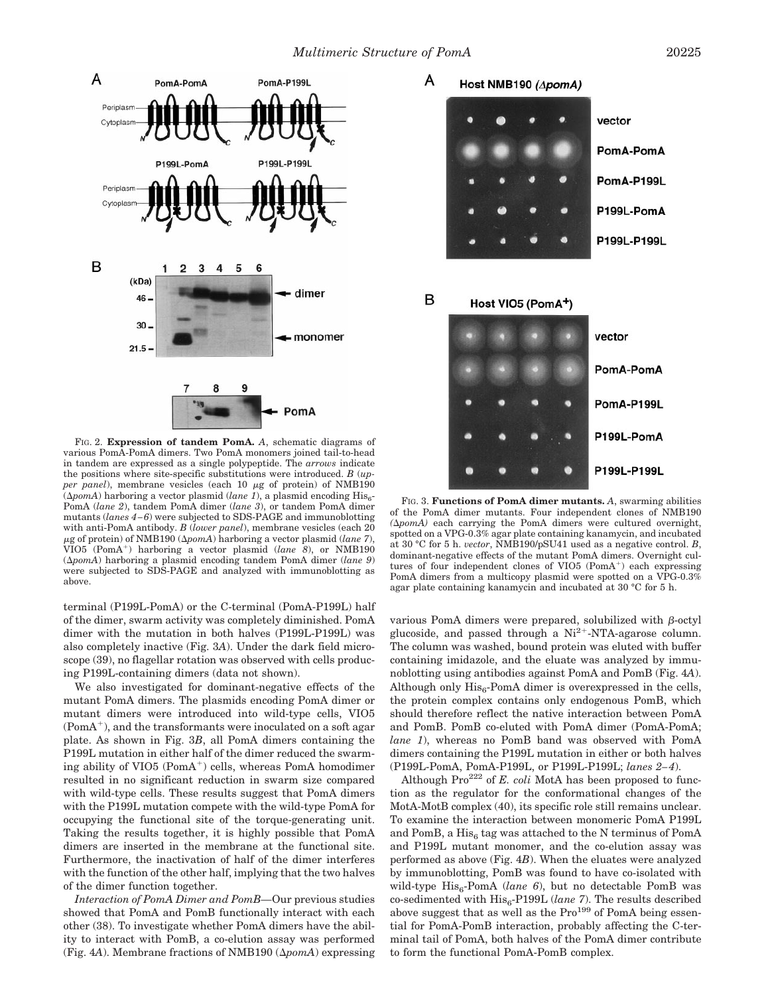

FIG. 2. **Expression of tandem PomA.** *A*, schematic diagrams of various PomA-PomA dimers. Two PomA monomers joined tail-to-head in tandem are expressed as a single polypeptide. The *arrows* indicate the positions where site-specific substitutions were introduced. *B* (*upper panel*), membrane vesicles (each 10  $\mu$ g of protein) of NMB190  $(\Delta pomA)$  harboring a vector plasmid (*lane 1*), a plasmid encoding His<sub>6</sub>-PomA (*lane 2*), tandem PomA dimer (*lane 3*), or tandem PomA dimer mutants (*lanes 4–6*) were subjected to SDS-PAGE and immunoblotting with anti-PomA antibody. *B* (*lower panel*), membrane vesicles (each 20  $\mu$ g of protein) of NMB190 ( $\Delta$ *pomA*) harboring a vector plasmid (*lane 7*), VIO5 (PomA1) harboring a vector plasmid (*lane 8*), or NMB190 (D*pomA*) harboring a plasmid encoding tandem PomA dimer (*lane 9*) were subjected to SDS-PAGE and analyzed with immunoblotting as above.

terminal (P199L-PomA) or the C-terminal (PomA-P199L) half of the dimer, swarm activity was completely diminished. PomA dimer with the mutation in both halves (P199L-P199L) was also completely inactive (Fig. 3*A*). Under the dark field microscope (39), no flagellar rotation was observed with cells producing P199L-containing dimers (data not shown).

We also investigated for dominant-negative effects of the mutant PomA dimers. The plasmids encoding PomA dimer or mutant dimers were introduced into wild-type cells, VIO5  $(PomA<sup>+</sup>)$ , and the transformants were inoculated on a soft agar plate. As shown in Fig. 3*B*, all PomA dimers containing the P199L mutation in either half of the dimer reduced the swarming ability of  $VIO5 (PomA<sup>+</sup>)$  cells, whereas PomA homodimer resulted in no significant reduction in swarm size compared with wild-type cells. These results suggest that PomA dimers with the P199L mutation compete with the wild-type PomA for occupying the functional site of the torque-generating unit. Taking the results together, it is highly possible that PomA dimers are inserted in the membrane at the functional site. Furthermore, the inactivation of half of the dimer interferes with the function of the other half, implying that the two halves of the dimer function together.

*Interaction of PomA Dimer and PomB—*Our previous studies showed that PomA and PomB functionally interact with each other (38). To investigate whether PomA dimers have the ability to interact with PomB, a co-elution assay was performed (Fig. 4A). Membrane fractions of NMB190  $(\Delta p_0 m A)$  expressing



FIG. 3. **Functions of PomA dimer mutants.** *A*, swarming abilities of the PomA dimer mutants. Four independent clones of NMB190  $(\Delta p_0)$  each carrying the PomA dimers were cultured overnight, spotted on a VPG-0.3% agar plate containing kanamycin, and incubated at 30 °C for 5 h. *vector*, NMB190/pSU41 used as a negative control. *B*, dominant-negative effects of the mutant PomA dimers. Overnight cultures of four independent clones of  $VIO5$  (PomA<sup>+</sup>) each expressing PomA dimers from a multicopy plasmid were spotted on a VPG-0.3% agar plate containing kanamycin and incubated at 30 °C for 5 h.

various PomA dimers were prepared, solubilized with  $\beta$ -octyl glucoside, and passed through a  $Ni<sup>2+</sup>$ -NTA-agarose column. The column was washed, bound protein was eluted with buffer containing imidazole, and the eluate was analyzed by immunoblotting using antibodies against PomA and PomB (Fig. 4*A*). Although only  $His<sub>6</sub>$ -PomA dimer is overexpressed in the cells, the protein complex contains only endogenous PomB, which should therefore reflect the native interaction between PomA and PomB. PomB co-eluted with PomA dimer (PomA-PomA; *lane 1*), whereas no PomB band was observed with PomA dimers containing the P199L mutation in either or both halves (P199L-PomA, PomA-P199L, or P199L-P199L; *lanes 2–4*).

Although  $Pro^{222}$  of *E. coli* MotA has been proposed to function as the regulator for the conformational changes of the MotA-MotB complex (40), its specific role still remains unclear. To examine the interaction between monomeric PomA P199L and PomB, a  $His<sub>6</sub>$  tag was attached to the N terminus of PomA and P199L mutant monomer, and the co-elution assay was performed as above (Fig. 4*B*). When the eluates were analyzed by immunoblotting, PomB was found to have co-isolated with wild-type His<sub>6</sub>-PomA (*lane 6*), but no detectable PomB was co-sedimented with His<sub>6</sub>-P199L (lane 7). The results described above suggest that as well as the  $Pro<sup>199</sup>$  of PomA being essential for PomA-PomB interaction, probably affecting the C-terminal tail of PomA, both halves of the PomA dimer contribute to form the functional PomA-PomB complex.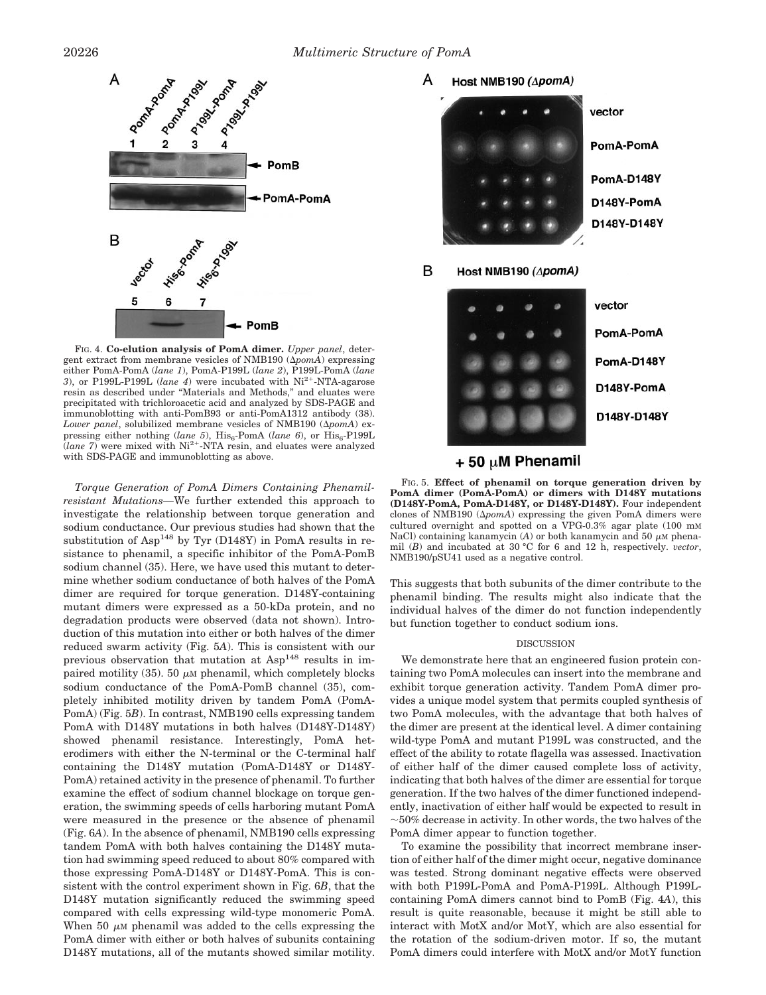

FIG. 4. **Co-elution analysis of PomA dimer.** *Upper panel*, detergent extract from membrane vesicles of NMB190 ( $\Delta p$ omA) expressing either PomA-PomA (*lane 1*), PomA-P199L (*lane 2*), P199L-PomA (*lane* 3), or P199L-P199L (*lane 4*) were incubated with Ni<sup>2+</sup>-NTA-agarose resin as described under "Materials and Methods," and eluates were precipitated with trichloroacetic acid and analyzed by SDS-PAGE and immunoblotting with anti-PomB93 or anti-PomA1312 antibody (38). *Lower panel*, solubilized membrane vesicles of NMB190  $(\Delta p_0 m)$  expressing either nothing (*lane 5*), His<sub>6</sub>-PomA (*lane 6*), or His<sub>6</sub>-P199L<br>(*lane 7*) were mixed with Ni<sup>2+</sup>-NTA resin, and eluates were analyzed with SDS-PAGE and immunoblotting as above.

*Torque Generation of PomA Dimers Containing Phenamilresistant Mutations—*We further extended this approach to investigate the relationship between torque generation and sodium conductance. Our previous studies had shown that the substitution of  $Asp<sup>148</sup>$  by Tyr (D148Y) in PomA results in resistance to phenamil, a specific inhibitor of the PomA-PomB sodium channel (35). Here, we have used this mutant to determine whether sodium conductance of both halves of the PomA dimer are required for torque generation. D148Y-containing mutant dimers were expressed as a 50-kDa protein, and no degradation products were observed (data not shown). Introduction of this mutation into either or both halves of the dimer reduced swarm activity (Fig. 5*A*). This is consistent with our previous observation that mutation at Asp<sup>148</sup> results in impaired motility (35). 50  $\mu$ M phenamil, which completely blocks sodium conductance of the PomA-PomB channel (35), completely inhibited motility driven by tandem PomA (PomA-PomA) (Fig. 5*B*). In contrast, NMB190 cells expressing tandem PomA with D148Y mutations in both halves (D148Y-D148Y) showed phenamil resistance. Interestingly, PomA heterodimers with either the N-terminal or the C-terminal half containing the D148Y mutation (PomA-D148Y or D148Y-PomA) retained activity in the presence of phenamil. To further examine the effect of sodium channel blockage on torque generation, the swimming speeds of cells harboring mutant PomA were measured in the presence or the absence of phenamil (Fig. 6*A*). In the absence of phenamil, NMB190 cells expressing tandem PomA with both halves containing the D148Y mutation had swimming speed reduced to about 80% compared with those expressing PomA-D148Y or D148Y-PomA. This is consistent with the control experiment shown in Fig. 6*B*, that the D148Y mutation significantly reduced the swimming speed compared with cells expressing wild-type monomeric PomA. When 50  $\mu$ M phenamil was added to the cells expressing the PomA dimer with either or both halves of subunits containing D148Y mutations, all of the mutants showed similar motility.



## $+50 \mu M$  Phenamil

FIG. 5. **Effect of phenamil on torque generation driven by PomA dimer (PomA-PomA) or dimers with D148Y mutations (D148Y-PomA, PomA-D148Y, or D148Y-D148Y).** Four independent clones of NMB190  $(\Delta pomA)$  expressing the given PomA dimers were cultured overnight and spotted on a VPG-0.3% agar plate (100 mM NaCl) containing kanamycin (*A*) or both kanamycin and 50  $\mu$ M phenamil (*B*) and incubated at 30 °C for 6 and 12 h, respectively. *vector*, NMB190/pSU41 used as a negative control.

This suggests that both subunits of the dimer contribute to the phenamil binding. The results might also indicate that the individual halves of the dimer do not function independently but function together to conduct sodium ions.

#### **DISCUSSION**

We demonstrate here that an engineered fusion protein containing two PomA molecules can insert into the membrane and exhibit torque generation activity. Tandem PomA dimer provides a unique model system that permits coupled synthesis of two PomA molecules, with the advantage that both halves of the dimer are present at the identical level. A dimer containing wild-type PomA and mutant P199L was constructed, and the effect of the ability to rotate flagella was assessed. Inactivation of either half of the dimer caused complete loss of activity, indicating that both halves of the dimer are essential for torque generation. If the two halves of the dimer functioned independently, inactivation of either half would be expected to result in  $\sim$ 50% decrease in activity. In other words, the two halves of the PomA dimer appear to function together.

To examine the possibility that incorrect membrane insertion of either half of the dimer might occur, negative dominance was tested. Strong dominant negative effects were observed with both P199L-PomA and PomA-P199L. Although P199Lcontaining PomA dimers cannot bind to PomB (Fig. 4*A*), this result is quite reasonable, because it might be still able to interact with MotX and/or MotY, which are also essential for the rotation of the sodium-driven motor. If so, the mutant PomA dimers could interfere with MotX and/or MotY function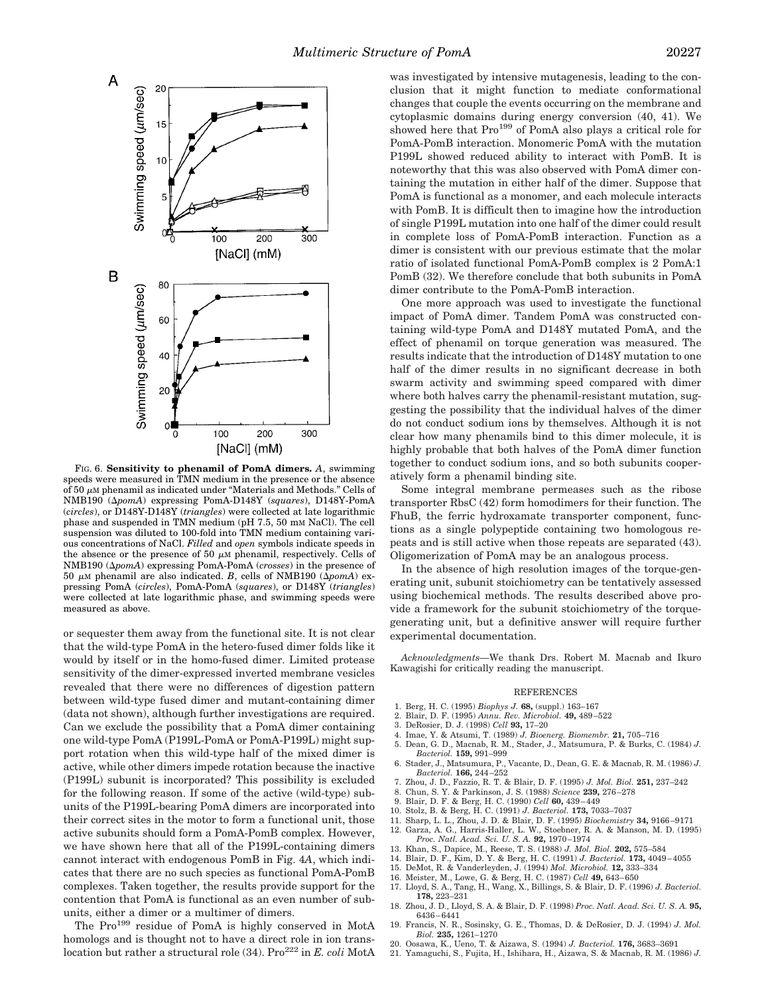

FIG. 6. **Sensitivity to phenamil of PomA dimers.** *A*, swimming speeds were measured in TMN medium in the presence or the absence of  $50 \mu$ M phenamil as indicated under "Materials and Methods." Cells of NMB190 ( $\Delta pomA$ ) expressing PomA-D148Y (*squares*), D148Y-PomA (*circles*), or D148Y-D148Y (*triangles*) were collected at late logarithmic phase and suspended in TMN medium (pH 7.5, 50 mM NaCl). The cell suspension was diluted to 100-fold into TMN medium containing various concentrations of NaCl. *Filled* and *open* symbols indicate speeds in the absence or the presence of 50  $\mu$ M phenamil, respectively. Cells of NMB190 (D*pomA*) expressing PomA-PomA (*crosses*) in the presence of 50  $\mu$ M phenamil are also indicated. *B*, cells of NMB190 ( $\Delta$ *pomA*) expressing PomA (*circles*), PomA-PomA (*squares*), or D148Y (*triangles*) were collected at late logarithmic phase, and swimming speeds were measured as above.

or sequester them away from the functional site. It is not clear that the wild-type PomA in the hetero-fused dimer folds like it would by itself or in the homo-fused dimer. Limited protease sensitivity of the dimer-expressed inverted membrane vesicles revealed that there were no differences of digestion pattern between wild-type fused dimer and mutant-containing dimer (data not shown), although further investigations are required. Can we exclude the possibility that a PomA dimer containing one wild-type PomA (P199L-PomA or PomA-P199L) might support rotation when this wild-type half of the mixed dimer is active, while other dimers impede rotation because the inactive (P199L) subunit is incorporated? This possibility is excluded for the following reason. If some of the active (wild-type) subunits of the P199L-bearing PomA dimers are incorporated into their correct sites in the motor to form a functional unit, those active subunits should form a PomA-PomB complex. However, we have shown here that all of the P199L-containing dimers cannot interact with endogenous PomB in Fig. 4*A*, which indicates that there are no such species as functional PomA-PomB complexes. Taken together, the results provide support for the contention that PomA is functional as an even number of subunits, either a dimer or a multimer of dimers.

The Pro<sup>199</sup> residue of PomA is highly conserved in MotA homologs and is thought not to have a direct role in ion translocation but rather a structural role (34). Pro<sup>222</sup> in *E. coli* MotA was investigated by intensive mutagenesis, leading to the conclusion that it might function to mediate conformational changes that couple the events occurring on the membrane and cytoplasmic domains during energy conversion (40, 41). We showed here that Pro<sup>199</sup> of PomA also plays a critical role for PomA-PomB interaction. Monomeric PomA with the mutation P199L showed reduced ability to interact with PomB. It is noteworthy that this was also observed with PomA dimer containing the mutation in either half of the dimer. Suppose that PomA is functional as a monomer, and each molecule interacts with PomB. It is difficult then to imagine how the introduction of single P199L mutation into one half of the dimer could result in complete loss of PomA-PomB interaction. Function as a dimer is consistent with our previous estimate that the molar ratio of isolated functional PomA-PomB complex is 2 PomA:1 PomB (32). We therefore conclude that both subunits in PomA dimer contribute to the PomA-PomB interaction.

One more approach was used to investigate the functional impact of PomA dimer. Tandem PomA was constructed containing wild-type PomA and D148Y mutated PomA, and the effect of phenamil on torque generation was measured. The results indicate that the introduction of D148Y mutation to one half of the dimer results in no significant decrease in both swarm activity and swimming speed compared with dimer where both halves carry the phenamil-resistant mutation, suggesting the possibility that the individual halves of the dimer do not conduct sodium ions by themselves. Although it is not clear how many phenamils bind to this dimer molecule, it is highly probable that both halves of the PomA dimer function together to conduct sodium ions, and so both subunits cooperatively form a phenamil binding site.

Some integral membrane permeases such as the ribose transporter RbsC (42) form homodimers for their function. The FhuB, the ferric hydroxamate transporter component, functions as a single polypeptide containing two homologous repeats and is still active when those repeats are separated (43). Oligomerization of PomA may be an analogous process.

In the absence of high resolution images of the torque-generating unit, subunit stoichiometry can be tentatively assessed using biochemical methods. The results described above provide a framework for the subunit stoichiometry of the torquegenerating unit, but a definitive answer will require further experimental documentation.

*Acknowledgments—*We thank Drs. Robert M. Macnab and Ikuro Kawagishi for critically reading the manuscript.

#### **REFERENCES**

- 1. Berg, H. C. (1995) *Biophys J.* **68,** (suppl.) 163–167
- 2. Blair, D. F. (1995) *Annu. Rev. Microbiol.* **49,** 489–522
- 3. DeRosier, D. J. (1998) *Cell* **93,** 17–20
- 4. Imae, Y. & Atsumi, T. (1989) *J. Bioenerg. Biomembr.* **21,** 705–716
- 5. Dean, G. D., Macnab, R. M., Stader, J., Matsumura, P. & Burks, C. (1984) *J. Bacteriol.* **159,** 991–999
- 6. Stader, J., Matsumura, P., Vacante, D., Dean, G. E. & Macnab, R. M. (1986) *J. Bacteriol.* **166,** 244–252
- 7. Zhou, J. D., Fazzio, R. T. & Blair, D. F. (1995) *J. Mol. Biol.* **251,** 237–242
- 8. Chun, S. Y. & Parkinson, J. S. (1988) *Science* **239,** 276–278 9. Blair, D. F. & Berg, H. C. (1990) *Cell* **60,** 439–449
- 10. Stolz, B. & Berg, H. C. (1991) *J. Bacteriol.* **173,** 7033–7037
- 11. Sharp, L. L., Zhou, J. D. & Blair, D. F. (1995) *Biochemistry* **34,** 9166–9171
- 12. Garza, A. G., Harris-Haller, L. W., Stoebner, R. A. & Manson, M. D. (1995) *Proc. Natl. Acad. Sci. U. S. A.* **92,** 1970–1974
- 13. Khan, S., Dapice, M., Reese, T. S. (1988) *J. Mol. Biol.* **202,** 575–584
- 14. Blair, D. F., Kim, D. Y. & Berg, H. C. (1991) *J. Bacteriol.* **173,** 4049–4055
- 15. DeMot, R. & Vanderleyden, J. (1994) *Mol. Microbiol.* **12,** 333–334
- 16. Meister, M., Lowe, G. & Berg, H. C. (1987) *Cell* **49,** 643–650
- 17. Lloyd, S. A., Tang, H., Wang, X., Billings, S. & Blair, D. F. (1996) *J. Bacteriol.* **178,** 223–231
- 18. Zhou, J. D., Lloyd, S. A. & Blair, D. F. (1998) *Proc. Natl. Acad. Sci. U. S. A.* **95,** 6436–6441
- 19. Francis, N. R., Sosinsky, G. E., Thomas, D. & DeRosier, D. J. (1994) *J. Mol. Biol.* **235,** 1261–1270
- 20. Oosawa, K., Ueno, T. & Aizawa, S. (1994) *J. Bacteriol.* **176,** 3683–3691
- 21. Yamaguchi, S., Fujita, H., Ishihara, H., Aizawa, S. & Macnab, R. M. (1986) *J.*